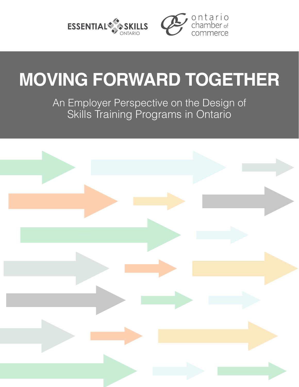



# **MOVING FORWARD TOGETHER**

An Employer Perspective on the Design of Skills Training Programs in Ontario

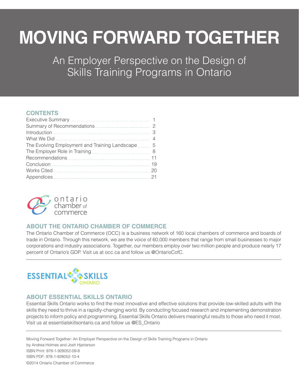# **MOVING FORWARD TOGETHER**

An Employer Perspective on the Design of Skills Training Programs in Ontario

### **CONTENTS**

| Summary of Recommendations <b>constant of the COVID-100 COVID-2010</b> |  |
|------------------------------------------------------------------------|--|
| $\label{th:1} \underline{\text{Introduction}}\,\, \underline{\text{}}$ |  |
|                                                                        |  |
| The Evolving Employment and Training Landscape                         |  |
|                                                                        |  |
|                                                                        |  |
|                                                                        |  |
|                                                                        |  |
|                                                                        |  |



### **ABOUT THE ONTARIO CHAMBER OF COMMERCE**

The Ontario Chamber of Commerce (OCC) is a business network of 160 local chambers of commerce and boards of trade in Ontario. Through this network, we are the voice of 60,000 members that range from small businesses to major corporations and industry associations. Together, our members employ over two million people and produce nearly 17 percent of Ontario's GDP. Visit us at occ.ca and follow us @OntarioCofC.



### **ABOUT ESSENTIAL SKILLS ONTARIO**

Essential Skills Ontario works to find the most innovative and effective solutions that provide low-skilled adults with the skills they need to thrive in a rapidly-changing world. By conducting focused research and implementing demonstration projects to inform policy and programming, Essential Skills Ontario delivers meaningful results to those who need it most. Visit us at essentialskillsontario.ca and follow us @ES\_Ontario

Moving Forward Together: An Employer Perspective on the Design of Skills Training Programs in Ontario by Andrea Holmes and Josh Hjartarson ISBN Print: 978-1-928052-09-8 ISBN PDF: 978-1-928052-10-4 ©2014 Ontario Chamber of Commerce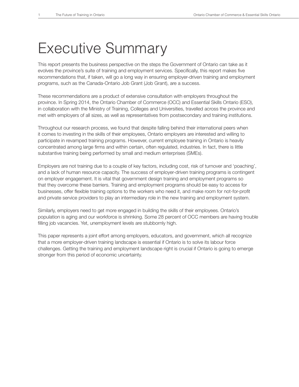## Executive Summary

This report presents the business perspective on the steps the Government of Ontario can take as it evolves the province's suite of training and employment services. Specifically, this report makes five recommendations that, if taken, will go a long way in ensuring employer-driven training and employment programs, such as the Canada-Ontario Job Grant (Job Grant), are a success.

These recommendations are a product of extensive consultation with employers throughout the province. In Spring 2014, the Ontario Chamber of Commerce (OCC) and Essential Skills Ontario (ESO), in collaboration with the Ministry of Training, Colleges and Universities, travelled across the province and met with employers of all sizes, as well as representatives from postsecondary and training institutions.

Throughout our research process, we found that despite falling behind their international peers when it comes to investing in the skills of their employees, Ontario employers are interested and willing to participate in revamped training programs. However, current employee training in Ontario is heavily concentrated among large firms and within certain, often regulated, industries. In fact, there is little substantive training being performed by small and medium enterprises (SMEs).

Employers are not training due to a couple of key factors, including cost, risk of turnover and 'poaching', and a lack of human resource capacity. The success of employer-driven training programs is contingent on employer engagement. It is vital that government design training and employment programs so that they overcome these barriers. Training and employment programs should be easy to access for businesses, offer flexible training options to the workers who need it, and make room for not-for-profit and private service providers to play an intermediary role in the new training and employment system.

Similarly, employers need to get more engaged in building the skills of their employees. Ontario's population is aging and our workforce is shrinking. Some 28 percent of OCC members are having trouble filling job vacancies. Yet, unemployment levels are stubbornly high.

This paper represents a joint effort among employers, educators, and government, which all recognize that a more employer-driven training landscape is essential if Ontario is to solve its labour force challenges. Getting the training and employment landscape right is crucial if Ontario is going to emerge stronger from this period of economic uncertainty.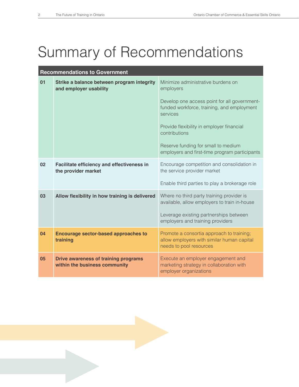## Summary of Recommendations

| <b>Recommendations to Government</b> |                                                                              |                                                                                                                    |  |
|--------------------------------------|------------------------------------------------------------------------------|--------------------------------------------------------------------------------------------------------------------|--|
| 01                                   | Strike a balance between program integrity<br>and employer usability         | Minimize administrative burdens on<br>employers                                                                    |  |
|                                      |                                                                              | Develop one access point for all government-<br>funded workforce, training, and employment<br>services             |  |
|                                      |                                                                              | Provide flexibility in employer financial<br>contributions                                                         |  |
|                                      |                                                                              | Reserve funding for small to medium<br>employers and first-time program participants                               |  |
| 02                                   | <b>Facilitate efficiency and effectiveness in</b><br>the provider market     | Encourage competition and consolidation in<br>the service provider market                                          |  |
|                                      |                                                                              | Enable third parties to play a brokerage role                                                                      |  |
| 03                                   | Allow flexibility in how training is delivered                               | Where no third party training provider is<br>available, allow employers to train in-house                          |  |
|                                      |                                                                              | Leverage existing partnerships between<br>employers and training providers                                         |  |
| 04                                   | <b>Encourage sector-based approaches to</b><br>training                      | Promote a consortia approach to training;<br>allow employers with similar human capital<br>needs to pool resources |  |
| 05                                   | <b>Drive awareness of training programs</b><br>within the business community | Execute an employer engagement and<br>marketing strategy in collaboration with<br>employer organizations           |  |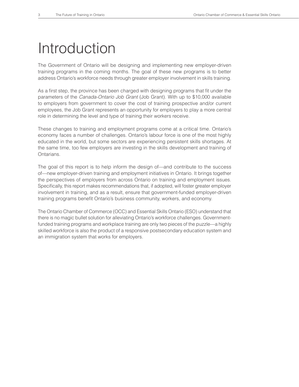## Introduction

The Government of Ontario will be designing and implementing new employer-driven training programs in the coming months. The goal of these new programs is to better address Ontario's workforce needs through greater employer involvement in skills training.

As a first step, the province has been charged with designing programs that fit under the parameters of the *Canada-Ontario Job Grant* (Job Grant). With up to \$10,000 available to employers from government to cover the cost of training prospective and/or current employees, the Job Grant represents an opportunity for employers to play a more central role in determining the level and type of training their workers receive.

These changes to training and employment programs come at a critical time. Ontario's economy faces a number of challenges. Ontario's labour force is one of the most highly educated in the world, but some sectors are experiencing persistent skills shortages. At the same time, too few employers are investing in the skills development and training of Ontarians.

The goal of this report is to help inform the design of—and contribute to the success of—new employer-driven training and employment initiatives in Ontario. It brings together the perspectives of employers from across Ontario on training and employment issues. Specifically, this report makes recommendations that, if adopted, will foster greater employer involvement in training, and as a result, ensure that government-funded employer-driven training programs benefit Ontario's business community, workers, and economy.

The Ontario Chamber of Commerce (OCC) and Essential Skills Ontario (ESO) understand that there is no magic bullet solution for alleviating Ontario's workforce challenges. Governmentfunded training programs and workplace training are only two pieces of the puzzle—a highly skilled workforce is also the product of a responsive postsecondary education system and an immigration system that works for employers.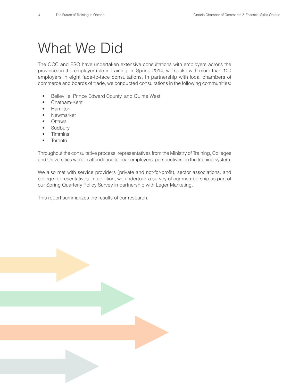## What We Did

The OCC and ESO have undertaken extensive consultations with employers across the province on the employer role in training. In Spring 2014, we spoke with more than 100 employers in eight face-to-face consultations. In partnership with local chambers of commerce and boards of trade, we conducted consultations in the following communities:

- Belleville, Prince Edward County, and Quinte West
- Chatham-Kent
- Hamilton
- Newmarket
- Ottawa
- **Sudbury**
- Timmins
- **Toronto**

Throughout the consultative process, representatives from the Ministry of Training, Colleges and Universities were in attendance to hear employers' perspectives on the training system.

We also met with service providers (private and not-for-profit), sector associations, and college representatives. In addition, we undertook a survey of our membership as part of our Spring Quarterly Policy Survey in partnership with Leger Marketing.

This report summarizes the results of our research.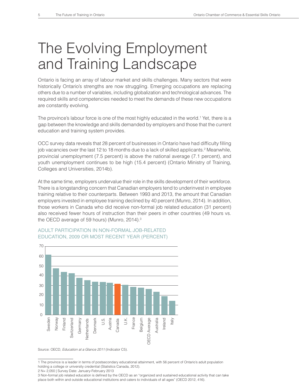## The Evolving Employment and Training Landscape

Ontario is facing an array of labour market and skills challenges. Many sectors that were historically Ontario's strengths are now struggling. Emerging occupations are replacing others due to a number of variables, including globalization and technological advances. The required skills and competencies needed to meet the demands of these new occupations are constantly evolving.

The province's labour force is one of the most highly educated in the world.<sup>1</sup> Yet, there is a gap between the knowledge and skills demanded by employers and those that the current education and training system provides.

OCC survey data reveals that 28 percent of businesses in Ontario have had difficulty filling job vacancies over the last 12 to 18 months due to a lack of skilled applicants.<sup>2</sup> Meanwhile, provincial unemployment (7.5 percent) is above the national average (7.1 percent), and youth unemployment continues to be high (15.4 percent) (Ontario Ministry of Training, Colleges and Universities, 2014b).

At the same time, employers undervalue their role in the skills development of their workforce. There is a longstanding concern that Canadian employers tend to underinvest in employee training relative to their counterparts. Between 1993 and 2013, the amount that Canadian employers invested in employee training declined by 40 percent (Munro, 2014). In addition, those workers in Canada who did receive non-formal job related education (31 percent) also received fewer hours of instruction than their peers in other countries (49 hours vs. the OECD average of 59 hours) (Munro, 2014).<sup>3</sup>



### ADULT PARTICIPATION IN NON-FORMAL JOB-RELATED EDUCATION, 2009 OR MOST RECENT YEAR (PERCENT)

<sup>1</sup> The province is a leader in terms of postsecondary educational attainment, with 56 percent of Ontario's adult population holding a college or university credential (Statistics Canada, 2012).

<sup>2</sup> N= 2,050 | Survey Date: January-February 2013

<sup>3</sup> Non-formal job related education is defined by the OECD as an "organized and sustained educational activity that can take<br>place both within and outside educational institutions and caters to individuals of all ages" (OEC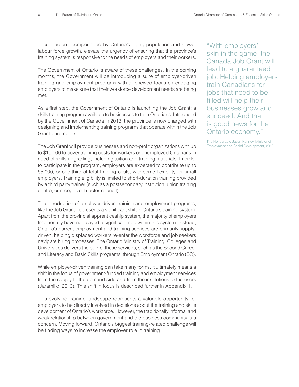These factors, compounded by Ontario's aging population and slower labour force growth, elevate the urgency of ensuring that the province's training system is responsive to the needs of employers and their workers.

The Government of Ontario is aware of these challenges. In the coming months, the Government will be introducing a suite of employer-driven training and employment programs with a renewed focus on engaging employers to make sure that their workforce development needs are being met.

As a first step, the Government of Ontario is launching the Job Grant: a skills training program available to businesses to train Ontarians. Introduced by the Government of Canada in 2013, the province is now charged with designing and implementing training programs that operate within the Job Grant parameters.

The Job Grant will provide businesses and non-profit organizations with up to \$10,000 to cover training costs for workers or unemployed Ontarians in need of skills upgrading, including tuition and training materials. In order to participate in the program, employers are expected to contribute up to \$5,000, or one-third of total training costs, with some flexibility for small employers. Training eligibility is limited to short-duration training provided by a third party trainer (such as a postsecondary institution, union training centre, or recognized sector council).

The introduction of employer-driven training and employment programs, like the Job Grant, represents a significant shift in Ontario's training system. Apart from the provincial apprenticeship system, the majority of employers traditionally have not played a significant role within this system. Instead, Ontario's current employment and training services are primarily supplydriven, helping displaced workers re-enter the workforce and job seekers navigate hiring processes. The Ontario Ministry of Training, Colleges and Universities delivers the bulk of these services, such as the Second Career and Literacy and Basic Skills programs, through Employment Ontario (EO).

While employer-driven training can take many forms, it ultimately means a shift in the focus of government-funded training and employment services from the supply to the demand side and from the institutions to the users (Jaramillo, 2013). This shift in focus is described further in Appendix 1.

This evolving training landscape represents a valuable opportunity for employers to be directly involved in decisions about the training and skills development of Ontario's workforce. However, the traditionally informal and weak relationship between government and the business community is a concern. Moving forward, Ontario's biggest training-related challenge will be finding ways to increase the employer role in training.

"With employers' skin in the game, the Canada Job Grant will lead to a guaranteed job. Helping employers train Canadians for jobs that need to be filled will help their businesses grow and succeed. And that is good news for the Ontario economy."

The Honourable Jason Kenney, Minister of Employment and Social Development, 2013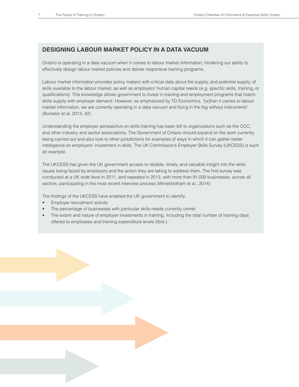### **DESIGNING LABOUR MARKET POLICY IN A DATA VACUUM**

Ontario is operating in a data vacuum when it comes to labour market information, hindering our ability to effectively design labour market policies and deliver responsive training programs.

Labour market information provides policy makers with critical data about the supply, and potential supply, of skills available to the labour market, as well as employers' human capital needs (e.g. specific skills, training, or qualifications). This knowledge allows government to invest in training and employment programs that match skills supply with employer demand. However, as emphasized by TD Economics, "[w]hen it comes to labour market information, we are currently operating in a data vacuum and flying in the fog without instruments" (Burleton et al. 2013, 42).

Understanding the employer perspective on skills training has been left to organizations such as the OCC, and other industry and sector associations. The Government of Ontario should expand on the work currently being carried out and also look to other jurisdictions for examples of ways in which it can gather better intelligence on employers' investment in skills. The UK Commission's Employer Skills Survey (UKCESS) is such an example.

The UKCESS has given the UK government access to reliable, timely, and valuable insight into the skills issues being faced by employers and the action they are taking to address them. The first survey was conducted at a UK wide level in 2011, and repeated in 2013, with more than 91,000 businesses, across all sectors, participating in the most recent interview process (Winterbotham et al., 2014).

The findings of the UKCESS have enabled the UK government to identify:

- Employer recruitment activity
- The percentage of businesses with particular skills needs currently unmet
- The extent and nature of employer investments in training, including the total number of training days offered to employees and training expenditure levels (Ibid.).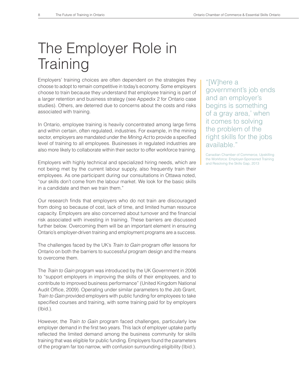## The Employer Role in **Training**

Employers' training choices are often dependent on the strategies they choose to adopt to remain competitive in today's economy. Some employers choose to train because they understand that employee training is part of a larger retention and business strategy (see Appedix 2 for Ontario case studies). Others, are deterred due to concerns about the costs and risks associated with training.

In Ontario, employee training is heavily concentrated among large firms and within certain, often regulated, industries. For example, in the mining sector, employers are mandated under the *Mining Act* to provide a specified level of training to all employees. Businesses in regulated industries are also more likely to collaborate within their sector to offer workforce training.

Employers with highly technical and specialized hiring needs, which are not being met by the current labour supply, also frequently train their employees. As one participant during our consultations in Ottawa noted, "our skills don't come from the labour market. We look for the basic skills in a candidate and then we train them."

Our research finds that employers who do not train are discouraged from doing so because of cost, lack of time, and limited human resource capacity. Employers are also concerned about turnover and the financial risk associated with investing in training. These barriers are discussed further below. Overcoming them will be an important element in ensuring Ontario's employer-driven training and employment programs are a success.

The challenges faced by the UK's *Train to Gain* program offer lessons for Ontario on both the barriers to successful program design and the means to overcome them.

The *Train to Gain* program was introduced by the UK Government in 2006 to "support employers in improving the skills of their employees, and to contribute to improved business performance" (United Kingdom National Audit Office, 2009). Operating under similar parameters to the Job Grant, *Train to Gain* provided employers with public funding for employees to take specified courses and training, with some training paid for by employers (Ibid.).

However, the *Train to Gain* program faced challenges, particularly low employer demand in the first two years. This lack of employer uptake partly reflected the limited demand among the business community for skills training that was eligible for public funding. Employers found the parameters of the program far too narrow, with confusion surrounding eligibility (Ibid.).

"[W]here a government's job ends and an employer's begins is something of a gray area,' when it comes to solving the problem of the right skills for the jobs available."

Canadian Chamber of Commerce, Upskilling the Workforce: Employer-Sponsored Training and Resolving the Skills Gap, 2013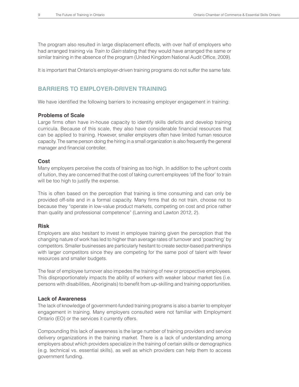The program also resulted in large displacement effects, with over half of employers who had arranged training via *Train to Gain* stating that they would have arranged the same or similar training in the absence of the program (United Kingdom National Audit Office, 2009).

It is important that Ontario's employer-driven training programs do not suffer the same fate.

### **BARRIERS TO EMPLOYER-DRIVEN TRAINING**

We have identified the following barriers to increasing employer engagement in training:

### **Problems of Scale**

Large firms often have in-house capacity to identify skills deficits and develop training curricula. Because of this scale, they also have considerable financial resources that can be applied to training. However, smaller employers often have limited human resource capacity. The same person doing the hiring in a small organization is also frequently the general manager and financial controller.

### **Cost**

Many employers perceive the costs of training as too high. In addition to the upfront costs of tuition, they are concerned that the cost of taking current employees 'off the floor' to train will be too high to justify the expense.

This is often based on the perception that training is time consuming and can only be provided off-site and in a formal capacity. Many firms that do not train, choose not to because they "operate in low-value product markets, competing on cost and price rather than quality and professional competence" (Lanning and Lawton 2012, 2).

### **Risk**

Employers are also hesitant to invest in employee training given the perception that the changing nature of work has led to higher than average rates of turnover and 'poaching' by competitors. Smaller businesses are particularly hesitant to create sector-based partnerships with larger competitors since they are competing for the same pool of talent with fewer resources and smaller budgets.

The fear of employee turnover also impedes the training of new or prospective employees. This disproportionately impacts the ability of workers with weaker labour market ties (i.e. persons with disabilities, Aboriginals) to benefit from up-skilling and training opportunities.

### **Lack of Awareness**

The lack of knowledge of government-funded training programs is also a barrier to employer engagement in training. Many employers consulted were not familiar with Employment Ontario (EO) or the services it currently offers.

Compounding this lack of awareness is the large number of training providers and service delivery organizations in the training market. There is a lack of understanding among employers about which providers specialize in the training of certain skills or demographics (e.g. technical vs. essential skills), as well as which providers can help them to access government funding.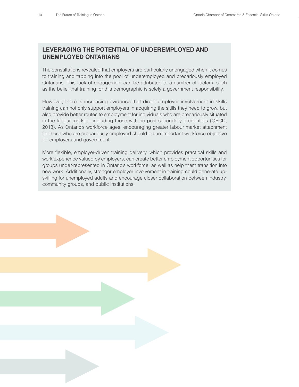### **LEVERAGING THE POTENTIAL OF UNDEREMPLOYED AND UNEMPLOYED ONTARIANS**

The consultations revealed that employers are particularly unengaged when it comes to training and tapping into the pool of underemployed and precariously employed Ontarians. This lack of engagement can be attributed to a number of factors, such as the belief that training for this demographic is solely a government responsibility.

However, there is increasing evidence that direct employer involvement in skills training can not only support employers in acquiring the skills they need to grow, but also provide better routes to employment for individuals who are precariously situated in the labour market—including those with no post-secondary credentials (OECD, 2013). As Ontario's workforce ages, encouraging greater labour market attachment for those who are precariously employed should be an important workforce objective for employers and government.

More flexible, employer-driven training delivery, which provides practical skills and work experience valued by employers, can create better employment opportunities for groups under-represented in Ontario's workforce, as well as help them transition into new work. Additionally, stronger employer involvement in training could generate upskilling for unemployed adults and encourage closer collaboration between industry, community groups, and public institutions.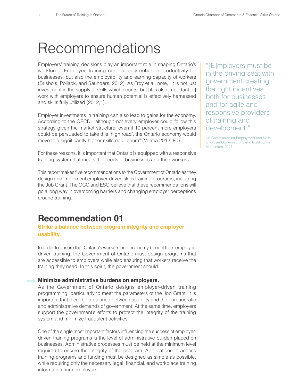## Recommendations

Employers' training decisions play an important role in shaping Ontario's workforce. Employee training can not only enhance productivity for businesses, but also the employability and earning capacity of workers (Brisbois, Pollack, and Saunders, 2012). As Froy et al. note, "it is not just investment in the supply of skills which counts, but [it is also important to] work with employers to ensure human potential is effectively harnessed and skills fully utilized (2012,1).

Employer investments in training can also lead to gains for the economy. According to the OECD, "although not every employer could follow this strategy given the market structure, even if 10 percent more employers could be persuaded to take this 'high road', the Ontario economy would move to a significantly higher skills equilibrium" (Verma 2012, 80).

For these reasons, it is important that Ontario is equipped with a responsive training system that meets the needs of businesses and their workers.

This report makes five recommendations to the Government of Ontario as they design and implement employer-driven skills training programs, including the Job Grant. The OCC and ESO believe that these recommendations will go a long way in overcoming barriers and changing employer perceptions around training.

### **Recommendation 01**

**Strike a balance between program integrity and employer usability.** 

In order to ensure that Ontario's workers and economy benefit from employerdriven training, the Government of Ontario must design programs that are accessible to employers while also ensuring that workers receive the training they need. In this spirit, the government should:

### **Minimize administrative burdens on employers.**

As the Government of Ontario designs employer-driven training programming, particularly to meet the parameters of the Job Grant, it is important that there be a balance between usability and the bureaucratic and administrative demands of government. At the same time, employers support the government's efforts to protect the integrity of the training system and minimize fraudulent activities.

One of the single most important factors influencing the success of employerdriven training programs is the level of administrative burden placed on businesses. Administrative processes must be held at the minimum level required to ensure the integrity of the program. Applications to access training programs and funding must be designed as simple as possible, while requiring only the necessary legal, financial, and workplace training information from employers.

"[E]mployers must be in the driving seat with government creating the right incentives both for businesses and for agile and responsive providers of training and development."

UK Commission for Employment and Skills, Employer Ownership of Skills: Building the Momentum, 2013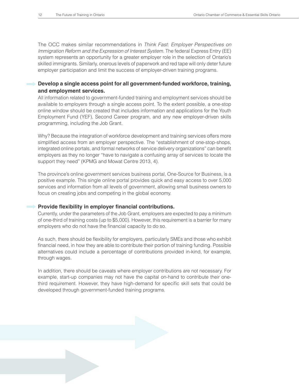The OCC makes similar recommendations in *Think Fast: Employer Perspectives on Immigration Reform and the Expression of Interest System*. The federal Express Entry (EE) system represents an opportunity for a greater employer role in the selection of Ontario's skilled immigrants. Similarly, onerous levels of paperwork and red tape will only deter future employer participation and limit the success of employer-driven training programs.

### **Develop a single access point for all government-funded workforce, training, and employment services.**

All information related to government-funded training and employment services should be available to employers through a single access point. To the extent possible, a one-stop online window should be created that includes information and applications for the Youth Employment Fund (YEF), Second Career program, and any new employer-driven skills programming, including the Job Grant.

Why? Because the integration of workforce development and training services offers more simplified access from an employer perspective. The "establishment of one-stop-shops, integrated online portals, and formal networks of service delivery organizations" can benefit employers as they no longer "have to navigate a confusing array of services to locate the support they need" (KPMG and Mowat Centre 2013, 4).

The province's online government services business portal, One-Source for Business, is a positive example. This single online portal provides quick and easy access to over 5,000 services and information from all levels of government, allowing small business owners to focus on creating jobs and competing in the global economy.

### **Provide flexibility in employer financial contributions.**

Currently, under the parameters of the Job Grant, employers are expected to pay a minimum of one-third of training costs (up to \$5,000). However, this requirement is a barrier for many employers who do not have the financial capacity to do so.

As such, there should be flexibility for employers, particularly SMEs and those who exhibit financial need, in how they are able to contribute their portion of training funding. Possible alternatives could include a percentage of contributions provided in-kind, for example, through wages.

In addition, there should be caveats where employer contributions are not necessary. For example, start-up companies may not have the capital on-hand to contribute their onethird requirement. However, they have high-demand for specific skill sets that could be developed through government-funded training programs.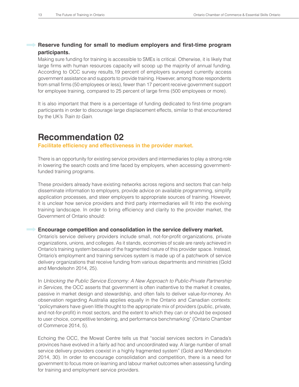### **Reserve funding for small to medium employers and first-time program participants.**

Making sure funding for training is accessible to SMEs is critical. Otherwise, it is likely that large firms with human resources capacity will scoop up the majority of annual funding. According to OCC survey results,19 percent of employers surveyed currently access government assistance and supports to provide training. However, among those respondents from small firms (50 employees or less), fewer than 17 percent receive government support for employee training, compared to 25 percent of large firms (500 employees or more).

It is also important that there is a percentage of funding dedicated to first-time program participants in order to discourage large displacement effects, similar to that encountered by the UK's *Train to Gain*.

## **Recommendation 02**

### **Facilitate efficiency and effectiveness in the provider market.**

There is an opportunity for existing service providers and intermediaries to play a strong role in lowering the search costs and time faced by employers, when accessing governmentfunded training programs.

These providers already have existing networks across regions and sectors that can help disseminate information to employers, provide advice on available programming, simplify application processes, and steer employers to appropriate sources of training. However, it is unclear how service providers and third party intermediaries will fit into the evolving training landscape. In order to bring efficiency and clarity to the provider market, the Government of Ontario should:

### **Encourage competition and consolidation in the service delivery market.**

Ontario's service delivery providers include small, not-for-profit organizations, private organizations, unions, and colleges. As it stands, economies of scale are rarely achieved in Ontario's training system because of the fragmented nature of this provider space. Instead, Ontario's employment and training services system is made up of a patchwork of service delivery organizations that receive funding from various departments and ministries (Gold and Mendelsohn 2014, 25).

In *Unlocking the Public Service Economy: A New Approach to Public-Private Partnership in Services*, the OCC asserts that government is often inattentive to the market it creates, passive in market design and stewardship, and often fails to deliver value-for-money. An observation regarding Australia applies equally in the Ontario and Canadian contexts: "policymakers have given little thought to the appropriate mix of providers (public, private, and not-for-profit) in most sectors, and the extent to which they can or should be exposed to user choice, competitive tendering, and performance benchmarking" (Ontario Chamber of Commerce 2014, 5).

Echoing the OCC, the Mowat Centre tells us that "social services sectors in Canada's provinces have evolved in a fairly ad hoc and uncoordinated way. A large number of small service delivery providers coexist in a highly fragmented system" (Gold and Mendelsohn 2014, 30). In order to encourage consolidation and competition, there is a need for government to focus more on learning and labour market outcomes when assessing funding for training and employment service providers.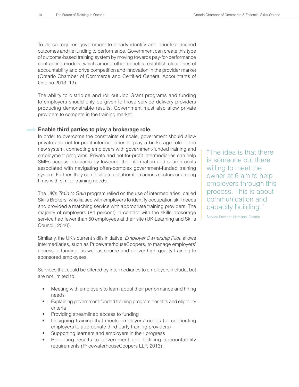To do so requires government to clearly identify and prioritize desired outcomes and tie funding to performance. Government can create this type of outcome-based training system by moving towards pay-for-performance contracting models, which among other benefits, establish clear lines of accountability and drive competition and innovation in the provider market (Ontario Chamber of Commerce and Certified General Accountants of Ontario 2013, 19).

The ability to distribute and roll out Job Grant programs and funding to employers should only be given to those service delivery providers producing demonstrable results. Government must also allow private providers to compete in the training market.

### **Enable third parties to play a brokerage role.**

In order to overcome the constraints of scale, government should allow private and not-for-profit intermediaries to play a brokerage role in the new system, connecting employers with government-funded training and employment programs. Private and not-for-profit intermediaries can help SMEs access programs by lowering the information and search costs associated with navigating often-complex government-funded training system. Further, they can facilitate collaboration across sectors or among firms with similar training needs.

The UK's *Train to Gain* program relied on the use of intermediaries, called Skills Brokers, who liaised with employers to identify occupation skill needs and provided a matching service with appropriate training providers. The majority of employers (84 percent) in contact with the skills brokerage service had fewer than 50 employees at their site (UK Learning and Skills Council, 2010).

Similarly, the UK's current skills initiative, *Employer Ownership Pilot*, allows intermediaries, such as PricewaterhouseCoopers, to manage employers' access to funding, as well as source and deliver high quality training to sponsored employees.

Services that could be offered by intermediaries to employers include, but are not limited to:

- Meeting with employers to learn about their performance and hiring needs
- Explaining government-funded training program benefits and eligibility criteria
- Providing streamlined access to funding
- Designing training that meets employers' needs (or connecting employers to appropriate third party training providers)
- Supporting learners and employers in their progress
- Reporting results to government and fulfilling accountability requirements (PricewaterhouseCoopers LLP, 2013)

"The idea is that there is someone out there willing to meet the owner at 6 am to help employers through this process. This is about communication and capacity building."

Service Provider, Hamilton, Ontario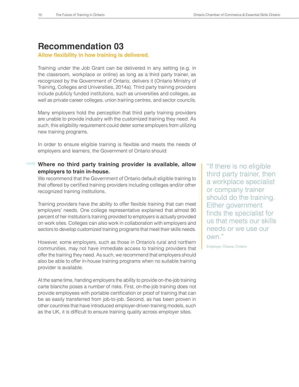## **Recommendation 03**

### Allow flexibility in how training is delivered.

Training under the Job Grant can be delivered in any setting (e.g. in the classroom, workplace or online) as long as a third party trainer, as recognized by the Government of Ontario, delivers it (Ontario Ministry of Training, Colleges and Universities, 2014a). Third party training providers include publicly funded institutions, such as universities and colleges, as well as private career colleges, union training centres, and sector councils.

Many employers hold the perception that third party training providers are unable to provide industry with the customized training they need. As such, this eligibility requirement could deter some employers from utilizing new training programs.

In order to ensure eligible training is flexible and meets the needs of employers and learners, the Government of Ontario should:

### **Where no third party training provider is available, allow employers to train in-house.**

We recommend that the Government of Ontario default eligible training to that offered by certified training providers including colleges and/or other recognized training institutions.

Training providers have the ability to offer flexible training that can meet employers' needs. One college representative explained that almost 90 percent of her institution's training provided to employers is actually provided on work sites. Colleges can also work in collaboration with employers and sectors to develop customized training programs that meet their skills needs.

However, some employers, such as those in Ontario's rural and northern communities, may not have immediate access to training providers that offer the training they need. As such, we recommend that employers should also be able to offer in-house training programs when no suitable training provider is available.

At the same time, handing employers the ability to provide on-the-job training carte blanche poses a number of risks. First, on-the-job training does not provide employees with portable certification or proof of training that can be as easily transferred from job-to-job. Second, as has been proven in other countries that have introduced employer-driven training models, such as the UK, it is difficult to ensure training quality across employer sites.

"If there is no eligible third party trainer, then a workplace specialist or company trainer should do the training. Either government finds the specialist for us that meets our skills needs or we use our own."

Employer, Ottawa, Ontario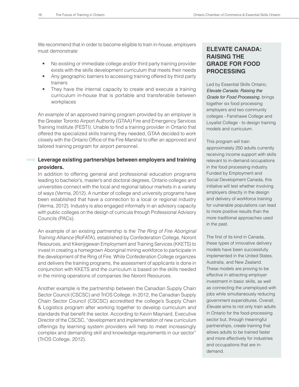We recommend that in order to become eligible to train in-house, employers must demonstrate:

- No existing or immediate college and/or third party training provider exists with the skills development curriculum that meets their needs
- Any geographic barriers to accessing training offered by third party trainers
- They have the internal capacity to create and execute a training curriculum in-house that is portable and transferable between workplaces

An example of an approved training program provided by an employer is the Greater Toronto Airport Authority (GTAA) Fire and Emergency Services Training Institute (FESTI). Unable to find a training provider in Ontario that offered the specialized skills training they needed, GTAA decided to work closely with the Ontario Office of the Fire Marshal to offer an approved and tailored training program for airport personnel.

### **Leverage existing partnerships between employers and training providers.**

In addition to offering general and professional education programs leading to bachelor's, master's and doctoral degrees, Ontario colleges and universities connect with the local and regional labour markets in a variety of ways (Verma, 2012). A number of college and university programs have been established that have a connection to a local or regional industry (Verma, 2012). Industry is also engaged informally in an advisory capacity with public colleges on the design of curricula through Professional Advisory Councils (PACs).

An example of an existing partnership is the *The Ring of Fire Aboriginal Training Alliance* (RoFATA), established by Confederation College, Noront Resources, and Kikenjigewan Employment and Training Services (KKETS) to invest in creating a homegrown Aboriginal mining workforce to participate in the development of the Ring of Fire. While Confederation College organizes and delivers the training programs, the assessment of applicants is done in conjunction with KKETS and the curriculum is based on the skills needed in the mining operations of companies like Noront Resources.

Another example is the partnership between the Canadian Supply Chain Sector Council (CSCSC) and TriOS College. In 2012, the Canadian Supply Chain Sector Council (CSCSC) accredited the college's Supply Chain & Logistics program after working together to develop curriculum and standards that benefit the sector. According to Kevin Maynard, Executive Director of the CSCSC, "development and implementation of new curriculum offerings by learning system providers will help to meet increasingly complex and demanding skill and knowledge requirements in our sector" (TriOS College, 2012).

### **ELEVATE CANADA: RAISING THE GRADE FOR FOOD PROCESSING**

Led by Essential Skills Ontario, *Elevate Canada: Raising the Grade for Food Processing*, brings together six food processing employers and two community colleges - Fanshawe College and Loyalist College - to design training models and curriculum.

This program will train approximately 250 adults currently receiving income support with skills relevant to in-demand occupations in the food processing industry. Funded by Employment and Social Development Canada, this initiative will test whether involving employers directly in the design and delivery of workforce training for vulnerable populations can lead to more positive results than the more traditional approaches used in the past.

The first of its kind in Canada, these types of innovative delivery models have been successfully implemented in the United States, Australia, and New Zealand. These models are proving to be effective in attracting employer investment in basic skills, as well as connecting the unemployed with jobs while simultaneously reducing government expenditures. Overall, *Elevate* aims to not only train adults in Ontario for the food-processing sector but, through meaningful partnerships, create training that allows adults to be trained faster and more effectively for industries and occupations that are indemand.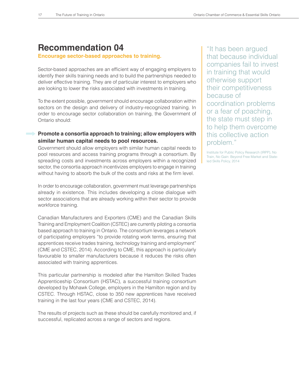### **Recommendation 04**

### **Encourage sector-based approaches to training.**

Sector-based approaches are an efficient way of engaging employers to identify their skills training needs and to build the partnerships needed to deliver effective training. They are of particular interest to employers who are looking to lower the risks associated with investments in training.

To the extent possible, government should encourage collaboration within sectors on the design and delivery of industry-recognized training. In order to encourage sector collaboration on training, the Government of Ontario should:

### **Promote a consortia approach to training; allow employers with similar human capital needs to pool resources.**

Government should allow employers with similar human capital needs to pool resources and access training programs through a consortium. By spreading costs and investments across employers within a recognized sector, the consortia approach incentivizes employers to engage in training without having to absorb the bulk of the costs and risks at the firm level.

In order to encourage collaboration, government must leverage partnerships already in existence. This includes developing a close dialogue with sector associations that are already working within their sector to provide workforce training.

Canadian Manufacturers and Exporters (CME) and the Canadian Skills Training and Employment Coalition (CSTEC) are currently piloting a consortia based approach to training in Ontario. The consortium leverages a network of participating employers "to provide rotating work terms, ensuring that apprentices receive trades training, technology training and employment" (CME and CSTEC, 2014). According to CME, this approach is particularly favourable to smaller manufacturers because it reduces the risks often associated with training apprentices.

This particular partnership is modeled after the Hamilton Skilled Trades Apprenticeship Consortium (HSTAC), a successful training consortium developed by Mohawk College, employers in the Hamilton region and by CSTEC. Through HSTAC, close to 350 new apprentices have received training in the last four years (CME and CSTEC, 2014).

The results of projects such as these should be carefully monitored and, if successful, replicated across a range of sectors and regions.

"It has been argued that because individual companies fail to invest in training that would otherwise support their competitiveness because of coordination problems or a fear of poaching, the state must step in to help them overcome this collective action problem."

Institute for Public Policy Research (IRPP), No Train, No Gain: Beyond Free Market and Stateled Skills Policy, 2014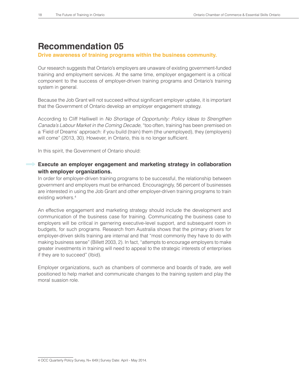## **Recommendation 05**

### **Drive awareness of training programs within the business community.**

Our research suggests that Ontario's employers are unaware of existing government-funded training and employment services. At the same time, employer engagement is a critical component to the success of employer-driven training programs and Ontario's training system in general.

Because the Job Grant will not succeed without significant employer uptake, it is important that the Government of Ontario develop an employer engagement strategy.

According to Cliff Halliwell in *No Shortage of Opportunity: Policy Ideas to Strengthen Canada's Labour Market in the Coming Decade*, "too often, training has been premised on a 'Field of Dreams' approach: if you build (train) them (the unemployed), they (employers) will come" (2013, 30). However, in Ontario, this is no longer sufficient.

In this spirit, the Government of Ontario should:

### **Execute an employer engagement and marketing strategy in collaboration with employer organizations.**

In order for employer-driven training programs to be successful, the relationship between government and employers must be enhanced. Encouragingly, 56 percent of businesses are interested in using the Job Grant and other employer-driven training programs to train existing workers.<sup>4</sup>

An effective engagement and marketing strategy should include the development and communication of the business case for training. Communicating the business case to employers will be critical in garnering executive-level support, and subsequent room in budgets, for such programs. Research from Australia shows that the primary drivers for employer-driven skills training are internal and that "most commonly they have to do with making business sense" (Billett 2003, 2). In fact, "attempts to encourage employers to make greater investments in training will need to appeal to the strategic interests of enterprises if they are to succeed" (Ibid).

Employer organizations, such as chambers of commerce and boards of trade, are well positioned to help market and communicate changes to the training system and play the moral suasion role.

<sup>4</sup> OCC Quarterly Policy Survey, N= 649 | Survey Date: April - May 2014.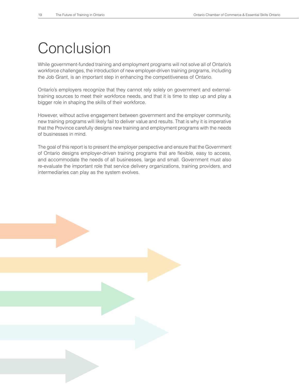## **Conclusion**

While government-funded training and employment programs will not solve all of Ontario's workforce challenges, the introduction of new employer-driven training programs, including the Job Grant, is an important step in enhancing the competitiveness of Ontario.

Ontario's employers recognize that they cannot rely solely on government and externaltraining sources to meet their workforce needs, and that it is time to step up and play a bigger role in shaping the skills of their workforce.

However, without active engagement between government and the employer community, new training programs will likely fail to deliver value and results. That is why it is imperative that the Province carefully designs new training and employment programs with the needs of businesses in mind.

The goal of this report is to present the employer perspective and ensure that the Government of Ontario designs employer-driven training programs that are flexible, easy to access, and accommodate the needs of all businesses, large and small. Government must also re-evaluate the important role that service delivery organizations, training providers, and intermediaries can play as the system evolves.

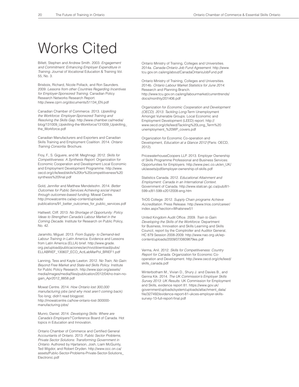## Works Cited

Billett, Stephen and Andrew Smith. 2003. *Engagement and Commitment: Enhancing Employer Expenditure in Training*. Journal of Vocational Education & Training Vol. 55, No. 3.

Brisbois, Richard, Nicole Pollack, and Ron Saunders. 2009. *Lessons from other Countries Regarding Incentives for Employer-Sponsored Training*. Canadian Policy Research Networks Research Report. http://www.cprn.org/documents/51134\_EN.pdf

Canadian Chamber of Commerce. 2013. *Upskilling the Workforce: Employer-Sponsored Training and Resolving the Skills Gap*. http://www.chamber.ca/media/ blog/131009\_Upskilling-the-Workforce/131009\_Upskilling\_ the\_Workforce.pdf

Canadian Manufacturers and Exporters and Canadian Skills Training and Employment Coalition. 2014. *Ontario Training Consortia*. Brochure.

Froy, F., S. Giguere, and M. Meghnagi. 2012. *Skills for Competitiveness: A Synthesis Report*. Organization for Economic Cooperation and Development Local Economic and Employment Development Programme. http://www. oecd.org/cfe/leed/skills%20for%20competitiveness%20 synthesis%20final.pdf

Gold, Jennifer and Matthew Mendelsohn. 2014. *Better Outcomes for Public Services:Achieving social impact through outcomes-based funding*. Mowat Centre. http://mowatcentre.ca/wp-content/uploads/ publications/91\_better\_outcomes\_for\_public\_services.pdf

Halliwell, Cliff. 2013. *No Shortage of Opportunity: Policy Ideas to Strengthen Canada's Labour Market in the Coming Decade*. Institute for Research on Public Policy, No. 42.

Jaramillo, Miguel. 2013. *From Supply- to Demand-led: Labour Training in Latin America*. Evidence and Lessons from Latin America (ELLA) brief. http://www.grade. org.pe/upload/publicaciones/archivo/download/pubs/ ELLABRIEF\_130607\_ECO\_ActLabMarPol\_BRIEF1.pdf

Lanning, Tess and Kayte Lawton. 2012. *No Train, No Gain: Beyond Free Market and State-led Skills Policy*. Institute for Public Policy Research. http://www.ippr.org/assets/ media/images/media/files/publication/2012/04/no-train-nogain\_Apr2012\_8858.pdf

Mowat Centre. 2014. *How Ontario lost 300,000 manufacturing jobs (and why most aren't coming back)*. Too long; didn't read blogpost. http://mowatcentre.ca/how-ontario-lost-300000 manufacturing-jobs/

Munro, Daniel. 2014. *Developing Skills: Where are Canada's Employers?* Conference Board of Canada. Hot topics in Education and Innovation.

Ontario Chamber of Commerce and Certified General Accountants of Ontario. 2013. *Public Sector Problems, Private Sector Solutions: Transforming Government in Ontario*. Authored by Hjartarson, Josh, Liam McGuinty, Ted Wigdor, and Robert Dryden. http://www.occ.on.ca/ assets/Public-Sector-Problems-Private-Sector-Solutions\_ Electronic.pdf

Ontario Ministry of Training, Colleges and Universities. 2014a. *Canada-Ontario Job Fund Agreement.* http://www. tcu.gov.on.ca/eng/about/CanadaOntarioJobFund.pdf

Ontario Ministry of Training, Colleges and Universities. 2014b. *Ontario Labour Market Statistics for June 2014*. Research and Planning Branch. http://www.tcu.gov.on.ca/eng/labourmarket/currenttrends/ docs/monthly/201406.pdf

Organization for *Economic Cooperation and Development (OECD). 2013. Tackling Long*-Term Unemployment Amongst Vulnerable Groups. Local Economic and Employment Development (LEED) report. http:// www.oecd.org/cfe/leed/Tackling%20Long\_Term%20 unemployment\_%20WP\_covers.pdf

Organization for Economic Co-operation and Development, *Education at a Glance 2012* (Paris: OECD, 2012).

PricewaterhouseCoopers LLP. 2013. Employer Ownership of Skills Programme Professional and Business Services: Opportunities for Employers. http://www.pwc.co.uk/en\_UK/ uk/assets/pdf/employer-ownership-of-skills.pdf

Statistics Canada. 2012. *Educational Attainment and Employment: Canada in an International Context.*  Government of Canada. http://www.statcan.gc.ca/pub/81- 599-x/81-599-x2012008-eng.htm

TriOS College. 2012. *Supply Chain programs Achieve Accreditation*. Press Release. http://www.trios.com/career/ index.aspx?section=Whatsnew51

United Kingdom Audit Office. 2009. *Train to Gain*: *Developing the Skills of the Workforce*. Department for Business, Innovation and Skills Learning and Skills Council, report by the Comptroller and Auditor General, HC 879 Session 2008-2009. http://www.nao.org.uk/wpcontent/uploads/2009/07/0809879es.pdf

Verma, Anil. 2012. *Skills for Competitiveness: Country Report for Canada*. Organization for Economic Cooperation and Development. http://www.oecd.org/cfe/leed/ skills\_canada.pdf

Winterbotham M., Vivian D., Shury J. and Davies B., and Genna Kik. 2014. *The UK Commission's Employer Skills Survey 2013: UK Results*. UK Commission for Employment and Skills, evidence report 81. https://www.gov.uk/ government/uploads/system/uploads/attachment\_data/ file/327492/evidence-report-81-ukces-employer-skillssurvey-13-full-report-final.pdf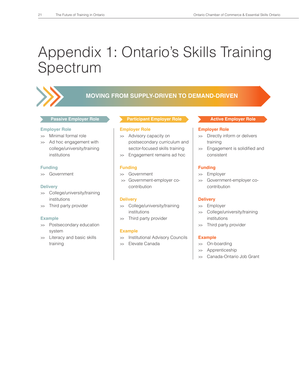## Appendix 1: Ontario's Skills Training Spectrum



### **MOVING FROM SUPPLY-DRIVEN TO DEMAND-DRIVEN**

#### **Employer Role**

- >> Minimal formal role
- >> Ad hoc engagement with college/university/training institutions

### **Funding**

>> Government

#### **Delivery**

- >> College/university/training institutions
- >> Third party provider

#### **Example**

- >> Postsecondary education system
- >> Literacy and basic skills training

### **Passive Employer Role <b>Active Employer Role Active Employer Role Participant Employer Role**

### **Employer Role**

- >> Advisory capacity on postsecondary curriculum and sector-focused skills training
- >> Engagement remains ad hoc

### **Funding**

- >> Government
- >> Government-employer cocontribution

### **Delivery**

- >> College/university/training institutions
- >> Third party provider

### **Example**

- >> Institutional Advisory Councils
- >> Elevate Canada

### **Employer Role**

- >> Directly inform or delivers training
- >> Engagement is solidified and consistent

### **Funding**

- >> Employer
- Government-employer cocontribution

### **Delivery**

- >> Employer
- >> College/university/training institutions
- >> Third party provider

### **Example**

- >> On-boarding
- >> Apprenticeship
- >> Canada-Ontario Job Grant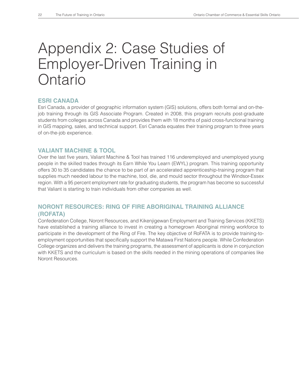## Appendix 2: Case Studies of Employer-Driven Training in **Ontario**

### **ESRI CANADA**

Esri Canada, a provider of geographic information system (GIS) solutions, offers both formal and on-thejob training through its GIS Associate Program. Created in 2008, this program recruits post-graduate students from colleges across Canada and provides them with 18 months of paid cross-functional training in GIS mapping, sales, and technical support. Esri Canada equates their training program to three years of on-the-job experience.

### **VALIANT MACHINE & TOOL**

Over the last five years, Valiant Machine & Tool has trained 116 underemployed and unemployed young people in the skilled trades through its Earn While You Learn (EWYL) program. This training opportunity offers 30 to 35 candidates the chance to be part of an accelerated apprenticeship-training program that supplies much needed labour to the machine, tool, die, and mould sector throughout the Windsor-Essex region. With a 95 percent employment rate for graduating students, the program has become so successful that Valiant is starting to train individuals from other companies as well.

### **NORONT RESOURCES: RING OF FIRE ABORIGINAL TRAINING ALLIANCE (ROFATA)**

Confederation College, Noront Resources, and Kikenjigewan Employment and Training Services (KKETS) have established a training alliance to invest in creating a homegrown Aboriginal mining workforce to participate in the development of the Ring of Fire. The key objective of RoFATA is to provide training-toemployment opportunities that specifically support the Matawa First Nations people. While Confederation College organizes and delivers the training programs, the assessment of applicants is done in conjunction with KKETS and the curriculum is based on the skills needed in the mining operations of companies like Noront Resources.